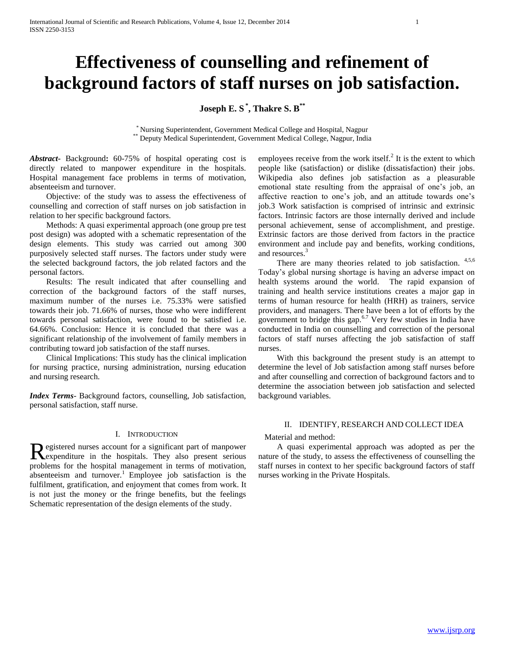# **Effectiveness of counselling and refinement of background factors of staff nurses on job satisfaction.**

**Joseph E. S \* , Thakre S. B\*\***

\* Nursing Superintendent, Government Medical College and Hospital, Nagpur \*\* Deputy Medical Superintendent, Government Medical College, Nagpur, India

*Abstract***-** Background**:** 60-75% of hospital operating cost is directly related to manpower expenditure in the hospitals. Hospital management face problems in terms of motivation, absenteeism and turnover.

 Objective: of the study was to assess the effectiveness of counselling and correction of staff nurses on job satisfaction in relation to her specific background factors.

 Methods: A quasi experimental approach (one group pre test post design) was adopted with a schematic representation of the design elements. This study was carried out among 300 purposively selected staff nurses. The factors under study were the selected background factors, the job related factors and the personal factors.

 Results: The result indicated that after counselling and correction of the background factors of the staff nurses, maximum number of the nurses i.e. 75.33% were satisfied towards their job. 71.66% of nurses, those who were indifferent towards personal satisfaction, were found to be satisfied i.e. 64.66%. Conclusion: Hence it is concluded that there was a significant relationship of the involvement of family members in contributing toward job satisfaction of the staff nurses.

 Clinical Implications: This study has the clinical implication for nursing practice, nursing administration, nursing education and nursing research.

*Index Terms*- Background factors, counselling, Job satisfaction, personal satisfaction, staff nurse.

### I. INTRODUCTION

egistered nurses account for a significant part of manpower Registered nurses account for a significant part of manpower<br>Rexpenditure in the hospitals. They also present serious problems for the hospital management in terms of motivation, absenteeism and turnover.<sup>1</sup> Employee job satisfaction is the fulfilment, gratification, and enjoyment that comes from work. It is not just the money or the fringe benefits, but the feelings Schematic representation of the design elements of the study.

employees receive from the work itself. $^{2}$  It is the extent to which people like (satisfaction) or dislike (dissatisfaction) their jobs. Wikipedia also defines job satisfaction as a pleasurable emotional state resulting from the appraisal of one's job, an affective reaction to one's job, and an attitude towards one's job.3 Work satisfaction is comprised of intrinsic and extrinsic factors. Intrinsic factors are those internally derived and include personal achievement, sense of accomplishment, and prestige. Extrinsic factors are those derived from factors in the practice environment and include pay and benefits, working conditions, and resources.<sup>3</sup>

There are many theories related to job satisfaction.  $4,5,6$ Today's global nursing shortage is having an adverse impact on health systems around the world. The rapid expansion of training and health service institutions creates a major gap in terms of human resource for health (HRH) as trainers, service providers, and managers. There have been a lot of efforts by the government to bridge this gap.<sup>6.7</sup> Very few studies in India have conducted in India on counselling and correction of the personal factors of staff nurses affecting the job satisfaction of staff nurses.

 With this background the present study is an attempt to determine the level of Job satisfaction among staff nurses before and after counselling and correction of background factors and to determine the association between job satisfaction and selected background variables.

### II. IDENTIFY, RESEARCH AND COLLECT IDEA

#### Material and method:

 A quasi experimental approach was adopted as per the nature of the study, to assess the effectiveness of counselling the staff nurses in context to her specific background factors of staff nurses working in the Private Hospitals.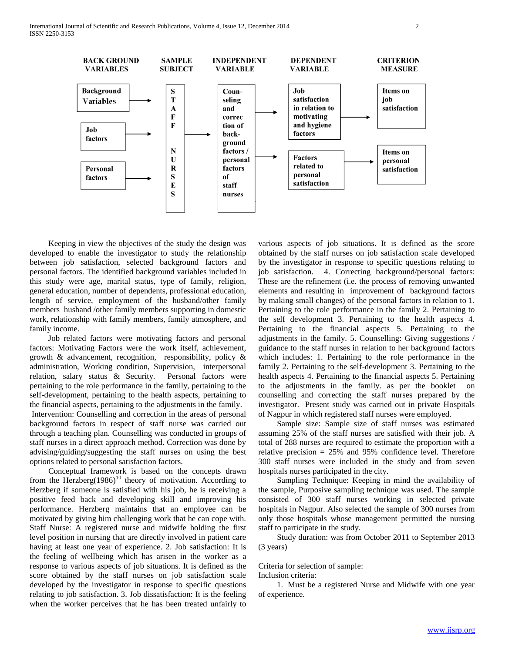

 Keeping in view the objectives of the study the design was developed to enable the investigator to study the relationship between job satisfaction, selected background factors and personal factors. The identified background variables included in this study were age, marital status, type of family, religion, general education, number of dependents, professional education, length of service, employment of the husband/other family members husband /other family members supporting in domestic work, relationship with family members, family atmosphere, and family income.

 Job related factors were motivating factors and personal factors: Motivating Factors were the work itself, achievement, growth & advancement, recognition, responsibility, policy & administration, Working condition, Supervision, interpersonal relation, salary status & Security. Personal factors were pertaining to the role performance in the family, pertaining to the self-development, pertaining to the health aspects, pertaining to the financial aspects, pertaining to the adjustments in the family.

Intervention: Counselling and correction in the areas of personal background factors in respect of staff nurse was carried out through a teaching plan. Counselling was conducted in groups of staff nurses in a direct approach method. Correction was done by advising/guiding/suggesting the staff nurses on using the best options related to personal satisfaction factors.

 Conceptual framework is based on the concepts drawn from the Herzberg $(1986)^{10}$  theory of motivation. According to Herzberg if someone is satisfied with his job, he is receiving a positive feed back and developing skill and improving his performance. Herzberg maintains that an employee can be motivated by giving him challenging work that he can cope with. Staff Nurse: A registered nurse and midwife holding the first level position in nursing that are directly involved in patient care having at least one year of experience. 2. Job satisfaction: It is the feeling of wellbeing which has arisen in the worker as a response to various aspects of job situations. It is defined as the score obtained by the staff nurses on job satisfaction scale developed by the investigator in response to specific questions relating to job satisfaction. 3. Job dissatisfaction: It is the feeling when the worker perceives that he has been treated unfairly to

various aspects of job situations. It is defined as the score obtained by the staff nurses on job satisfaction scale developed by the investigator in response to specific questions relating to job satisfaction. 4. Correcting background/personal factors: These are the refinement (i.e. the process of removing unwanted elements and resulting in improvement of background factors by making small changes) of the personal factors in relation to 1. Pertaining to the role performance in the family 2. Pertaining to the self development 3. Pertaining to the health aspects 4. Pertaining to the financial aspects 5. Pertaining to the adjustments in the family. 5. Counselling: Giving suggestions / guidance to the staff nurses in relation to her background factors which includes: 1. Pertaining to the role performance in the family 2. Pertaining to the self-development 3. Pertaining to the health aspects 4. Pertaining to the financial aspects 5. Pertaining to the adjustments in the family. as per the booklet on counselling and correcting the staff nurses prepared by the investigator. Present study was carried out in private Hospitals of Nagpur in which registered staff nurses were employed.

 Sample size: Sample size of staff nurses was estimated assuming 25% of the staff nurses are satisfied with their job. A total of 288 nurses are required to estimate the proportion with a relative precision = 25% and 95% confidence level. Therefore 300 staff nurses were included in the study and from seven hospitals nurses participated in the city.

 Sampling Technique: Keeping in mind the availability of the sample, Purposive sampling technique was used. The sample consisted of 300 staff nurses working in selected private hospitals in Nagpur. Also selected the sample of 300 nurses from only those hospitals whose management permitted the nursing staff to participate in the study.

 Study duration: was from October 2011 to September 2013 (3 years)

Criteria for selection of sample:

Inclusion criteria:

 1. Must be a registered Nurse and Midwife with one year of experience.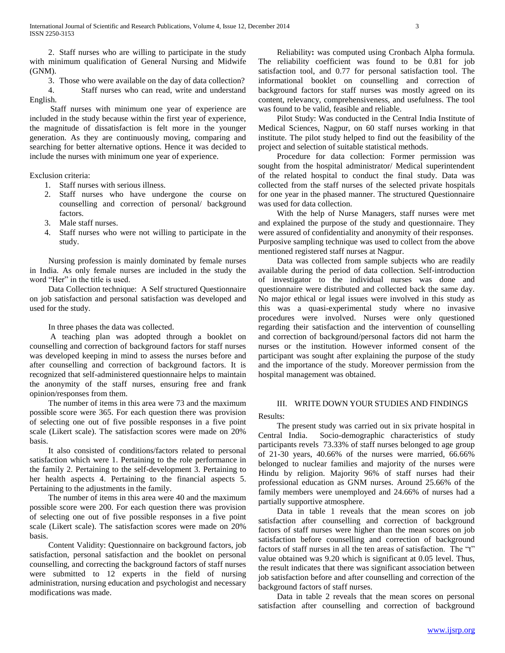2. Staff nurses who are willing to participate in the study with minimum qualification of General Nursing and Midwife (GNM).

 3. Those who were available on the day of data collection? 4. Staff nurses who can read, write and understand English.

 Staff nurses with minimum one year of experience are included in the study because within the first year of experience, the magnitude of dissatisfaction is felt more in the younger generation. As they are continuously moving, comparing and searching for better alternative options. Hence it was decided to include the nurses with minimum one year of experience.

Exclusion criteria:

- 1. Staff nurses with serious illness.
- 2. Staff nurses who have undergone the course on counselling and correction of personal/ background factors.
- 3. Male staff nurses.
- 4. Staff nurses who were not willing to participate in the study.

 Nursing profession is mainly dominated by female nurses in India. As only female nurses are included in the study the word "Her" in the title is used.

 Data Collection technique: A Self structured Questionnaire on job satisfaction and personal satisfaction was developed and used for the study.

In three phases the data was collected.

 A teaching plan was adopted through a booklet on counselling and correction of background factors for staff nurses was developed keeping in mind to assess the nurses before and after counselling and correction of background factors. It is recognized that self-administered questionnaire helps to maintain the anonymity of the staff nurses, ensuring free and frank opinion/responses from them.

 The number of items in this area were 73 and the maximum possible score were 365. For each question there was provision of selecting one out of five possible responses in a five point scale (Likert scale). The satisfaction scores were made on 20% basis.

 It also consisted of conditions/factors related to personal satisfaction which were 1. Pertaining to the role performance in the family 2. Pertaining to the self-development 3. Pertaining to her health aspects 4. Pertaining to the financial aspects 5. Pertaining to the adjustments in the family.

 The number of items in this area were 40 and the maximum possible score were 200. For each question there was provision of selecting one out of five possible responses in a five point scale (Likert scale). The satisfaction scores were made on 20% basis.

 Content Validity: Questionnaire on background factors, job satisfaction, personal satisfaction and the booklet on personal counselling, and correcting the background factors of staff nurses were submitted to 12 experts in the field of nursing administration, nursing education and psychologist and necessary modifications was made.

 Reliability**:** was computed using Cronbach Alpha formula. The reliability coefficient was found to be 0.81 for job satisfaction tool, and 0.77 for personal satisfaction tool. The informational booklet on counselling and correction of background factors for staff nurses was mostly agreed on its content, relevancy, comprehensiveness, and usefulness. The tool was found to be valid, feasible and reliable.

 Pilot Study: Was conducted in the Central India Institute of Medical Sciences, Nagpur, on 60 staff nurses working in that institute. The pilot study helped to find out the feasibility of the project and selection of suitable statistical methods.

 Procedure for data collection: Former permission was sought from the hospital administrator/ Medical superintendent of the related hospital to conduct the final study. Data was collected from the staff nurses of the selected private hospitals for one year in the phased manner. The structured Questionnaire was used for data collection.

 With the help of Nurse Managers, staff nurses were met and explained the purpose of the study and questionnaire. They were assured of confidentiality and anonymity of their responses. Purposive sampling technique was used to collect from the above mentioned registered staff nurses at Nagpur.

 Data was collected from sample subjects who are readily available during the period of data collection. Self-introduction of investigator to the individual nurses was done and questionnaire were distributed and collected back the same day. No major ethical or legal issues were involved in this study as this was a quasi-experimental study where no invasive procedures were involved. Nurses were only questioned regarding their satisfaction and the intervention of counselling and correction of background/personal factors did not harm the nurses or the institution. However informed consent of the participant was sought after explaining the purpose of the study and the importance of the study. Moreover permission from the hospital management was obtained.

# III. WRITE DOWN YOUR STUDIES AND FINDINGS

Results:

 The present study was carried out in six private hospital in Central India. Socio-demographic characteristics of study participants revels 73.33% of staff nurses belonged to age group of 21-30 years, 40.66% of the nurses were married, 66.66% belonged to nuclear families and majority of the nurses were Hindu by religion. Majority 96% of staff nurses had their professional education as GNM nurses. Around 25.66% of the family members were unemployed and 24.66% of nurses had a partially supportive atmosphere.

 Data in table 1 reveals that the mean scores on job satisfaction after counselling and correction of background factors of staff nurses were higher than the mean scores on job satisfaction before counselling and correction of background factors of staff nurses in all the ten areas of satisfaction. The "t" value obtained was 9.20 which is significant at 0.05 level. Thus, the result indicates that there was significant association between job satisfaction before and after counselling and correction of the background factors of staff nurses.

 Data in table 2 reveals that the mean scores on personal satisfaction after counselling and correction of background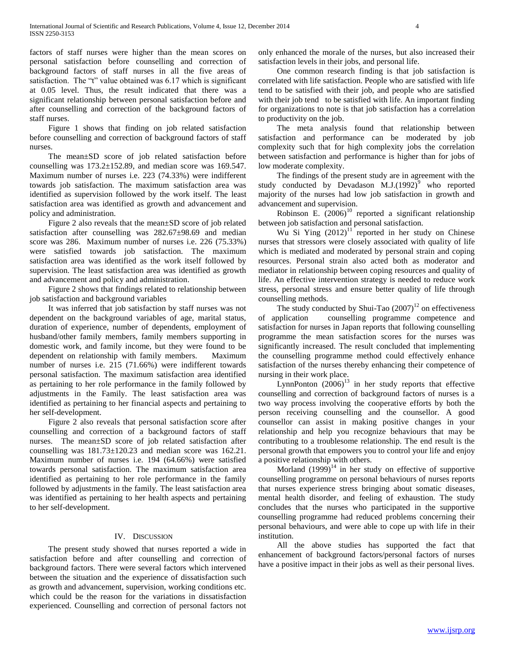factors of staff nurses were higher than the mean scores on personal satisfaction before counselling and correction of background factors of staff nurses in all the five areas of satisfaction. The "t" value obtained was 6.17 which is significant at 0.05 level. Thus, the result indicated that there was a significant relationship between personal satisfaction before and after counselling and correction of the background factors of staff nurses.

 Figure 1 shows that finding on job related satisfaction before counselling and correction of background factors of staff nurses.

 The mean±SD score of job related satisfaction before counselling was 173.2±152.89, and median score was 169.547. Maximum number of nurses i.e. 223 (74.33%) were indifferent towards job satisfaction. The maximum satisfaction area was identified as supervision followed by the work itself. The least satisfaction area was identified as growth and advancement and policy and administration.

 Figure 2 also reveals that the mean±SD score of job related satisfaction after counselling was 282.67±98.69 and median score was 286. Maximum number of nurses i.e. 226 (75.33%) were satisfied towards job satisfaction. The maximum satisfaction area was identified as the work itself followed by supervision. The least satisfaction area was identified as growth and advancement and policy and administration.

 Figure 2 shows that findings related to relationship between job satisfaction and background variables

 It was inferred that job satisfaction by staff nurses was not dependent on the background variables of age, marital status, duration of experience, number of dependents, employment of husband/other family members, family members supporting in domestic work, and family income, but they were found to be dependent on relationship with family members. Maximum number of nurses i.e. 215 (71.66%) were indifferent towards personal satisfaction. The maximum satisfaction area identified as pertaining to her role performance in the family followed by adjustments in the Family. The least satisfaction area was identified as pertaining to her financial aspects and pertaining to her self-development.

 Figure 2 also reveals that personal satisfaction score after counselling and correction of a background factors of staff nurses. The mean±SD score of job related satisfaction after counselling was 181.73±120.23 and median score was 162.21. Maximum number of nurses i.e. 194 (64.66%) were satisfied towards personal satisfaction. The maximum satisfaction area identified as pertaining to her role performance in the family followed by adjustments in the family. The least satisfaction area was identified as pertaining to her health aspects and pertaining to her self-development.

## IV. DISCUSSION

 The present study showed that nurses reported a wide in satisfaction before and after counselling and correction of background factors. There were several factors which intervened between the situation and the experience of dissatisfaction such as growth and advancement, supervision, working conditions etc. which could be the reason for the variations in dissatisfaction experienced. Counselling and correction of personal factors not only enhanced the morale of the nurses, but also increased their satisfaction levels in their jobs, and personal life.

 One common research finding is that job satisfaction is correlated with life satisfaction. People who are satisfied with life tend to be satisfied with their job, and people who are satisfied with their job tend to be satisfied with life. An important finding for organizations to note is that job satisfaction has a correlation to productivity on the job.

 The meta analysis found that relationship between satisfaction and performance can be moderated by job complexity such that for high complexity jobs the correlation between satisfaction and performance is higher than for jobs of low moderate complexity.

 The findings of the present study are in agreement with the study conducted by Devadason M.J. $(1992)^9$  who reported majority of the nurses had low job satisfaction in growth and advancement and supervision.

Robinson E.  $(2006)^{10}$  reported a significant relationship between job satisfaction and personal satisfaction.

Wu Si Ying  $(2012)^{11}$  reported in her study on Chinese nurses that stressors were closely associated with quality of life which is mediated and moderated by personal strain and coping resources. Personal strain also acted both as moderator and mediator in relationship between coping resources and quality of life. An effective intervention strategy is needed to reduce work stress, personal stress and ensure better quality of life through counselling methods.

The study conducted by Shui-Tao  $(2007)^{12}$  on effectiveness of application counselling programme competence and satisfaction for nurses in Japan reports that following counselling programme the mean satisfaction scores for the nurses was significantly increased. The result concluded that implementing the counselling programme method could effectively enhance satisfaction of the nurses thereby enhancing their competence of nursing in their work place.

LynnPonton  $(2006)^{13}$  in her study reports that effective counselling and correction of background factors of nurses is a two way process involving the cooperative efforts by both the person receiving counselling and the counsellor. A good counsellor can assist in making positive changes in your relationship and help you recognize behaviours that may be contributing to a troublesome relationship. The end result is the personal growth that empowers you to control your life and enjoy a positive relationship with others.

Morland  $(1999)^{14}$  in her study on effective of supportive counselling programme on personal behaviours of nurses reports that nurses experience stress bringing about somatic diseases, mental health disorder, and feeling of exhaustion. The study concludes that the nurses who participated in the supportive counselling programme had reduced problems concerning their personal behaviours, and were able to cope up with life in their institution.

 All the above studies has supported the fact that enhancement of background factors/personal factors of nurses have a positive impact in their jobs as well as their personal lives.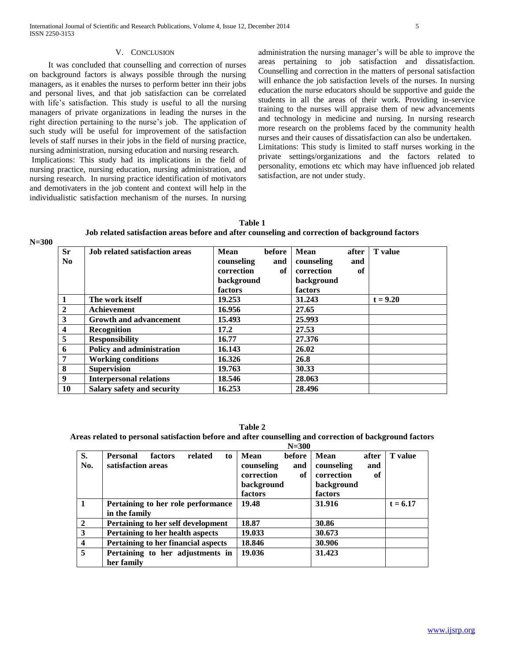It was concluded that counselling and correction of nurses on background factors is always possible through the nursing managers, as it enables the nurses to perform better inn their jobs and personal lives, and that job satisfaction can be correlated with life's satisfaction. This study is useful to all the nursing managers of private organizations in leading the nurses in the right direction pertaining to the nurse's job. The application of such study will be useful for improvement of the satisfaction levels of staff nurses in their jobs in the field of nursing practice, nursing administration, nursing education and nursing research. Implications: This study had its implications in the field of

nursing practice, nursing education, nursing administration, and nursing research. In nursing practice identification of motivators and demotivaters in the job content and context will help in the individualistic satisfaction mechanism of the nurses. In nursing administration the nursing manager's will be able to improve the areas pertaining to job satisfaction and dissatisfaction. Counselling and correction in the matters of personal satisfaction will enhance the job satisfaction levels of the nurses. In nursing education the nurse educators should be supportive and guide the students in all the areas of their work. Providing in-service training to the nurses will appraise them of new advancements and technology in medicine and nursing. In nursing research more research on the problems faced by the community health nurses and their causes of dissatisfaction can also be undertaken. Limitations: This study is limited to staff nurses working in the private settings/organizations and the factors related to personality, emotions etc which may have influenced job related satisfaction, are not under study.

| Table 1                                                                                         |
|-------------------------------------------------------------------------------------------------|
| Job related satisfaction areas before and after counseling and correction of background factors |

**N=300**

| <b>Sr</b>               | <b>Job related satisfaction areas</b> | Mean       | before | <b>Mean</b> | after | <b>T</b> value |
|-------------------------|---------------------------------------|------------|--------|-------------|-------|----------------|
| N <sub>0</sub>          |                                       | counseling | and    | counseling  | and   |                |
|                         |                                       | correction | of     | correction  | of    |                |
|                         |                                       | background |        | background  |       |                |
|                         |                                       | factors    |        | factors     |       |                |
| $\mathbf{1}$            | The work itself                       | 19.253     |        | 31.243      |       | $t = 9.20$     |
| $\overline{2}$          | Achievement                           | 16.956     |        | 27.65       |       |                |
| $\mathbf{3}$            | <b>Growth and advancement</b>         | 15.493     |        | 25.993      |       |                |
| $\overline{\mathbf{4}}$ | Recognition                           | 17.2       |        | 27.53       |       |                |
| $\overline{5}$          | <b>Responsibility</b>                 | 16.77      |        | 27.376      |       |                |
| 6                       | <b>Policy and administration</b>      | 16.143     |        | 26.02       |       |                |
| $7\overline{ }$         | <b>Working conditions</b>             | 16.326     |        | 26.8        |       |                |
| 8                       | <b>Supervision</b>                    | 19.763     |        | 30.33       |       |                |
| $\overline{9}$          | <b>Interpersonal relations</b>        | 18.546     |        | 28.063      |       |                |
| <b>10</b>               | Salary safety and security            | 16.253     |        | 28.496      |       |                |

**Table 2**

# Areas related to personal satisfaction before and after counselling and correction of background factors<br>N<sub>-200</sub>

|           | $N = 300$                                                         |                                                                                  |                                                                                 |                |  |  |
|-----------|-------------------------------------------------------------------|----------------------------------------------------------------------------------|---------------------------------------------------------------------------------|----------------|--|--|
| S.<br>No. | related<br><b>Personal</b><br>factors<br>to<br>satisfaction areas | Mean<br>before<br>counseling<br>and<br>correction<br>of<br>background<br>factors | Mean<br>after<br>counseling<br>and<br>correction<br>оf<br>background<br>factors | <b>T</b> value |  |  |
|           | Pertaining to her role performance<br>in the family               | 19.48                                                                            | 31.916                                                                          | $t = 6.17$     |  |  |
| 2         | Pertaining to her self development                                | 18.87                                                                            | 30.86                                                                           |                |  |  |
| 3         | Pertaining to her health aspects                                  | 19.033                                                                           | 30.673                                                                          |                |  |  |
| 4         | Pertaining to her financial aspects                               | 18.846                                                                           | 30.906                                                                          |                |  |  |
| 5         | Pertaining to her adjustments in<br>her family                    | 19.036                                                                           | 31.423                                                                          |                |  |  |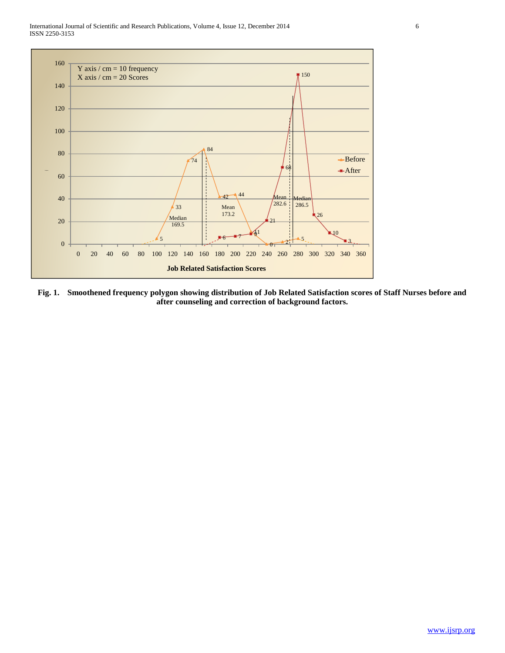International Journal of Scientific and Research Publications, Volume 4, Issue 12, December 2014 6 ISSN 2250-3153



**Fig. 1. Smoothened frequency polygon showing distribution of Job Related Satisfaction scores of Staff Nurses before and after counseling and correction of background factors.**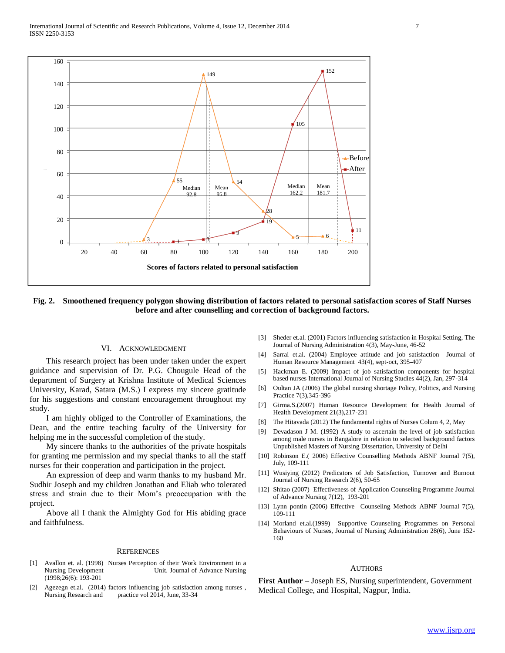

**Fig. 2. Smoothened frequency polygon showing distribution of factors related to personal satisfaction scores of Staff Nurses before and after counselling and correction of background factors.**

#### VI. ACKNOWLEDGMENT

 This research project has been under taken under the expert guidance and supervision of Dr. P.G. Chougule Head of the department of Surgery at Krishna Institute of Medical Sciences University, Karad, Satara (M.S.) I express my sincere gratitude for his suggestions and constant encouragement throughout my study.

 I am highly obliged to the Controller of Examinations, the Dean, and the entire teaching faculty of the University for helping me in the successful completion of the study.

 My sincere thanks to the authorities of the private hospitals for granting me permission and my special thanks to all the staff nurses for their cooperation and participation in the project.

 An expression of deep and warm thanks to my husband Mr. Sudhir Joseph and my children Jonathan and Eliab who tolerated stress and strain due to their Mom's preoccupation with the project.

 Above all I thank the Almighty God for His abiding grace and faithfulness.

#### **REFERENCES**

- [1] Avallon et. al. (1998) Nurses Perception of their Work Environment in a Unit. Journal of Advance Nursing (1998;26(6): 193-201
- [2] Agezegn et.al. (2014) factors influencing job satisfaction among nurses , Nursing Research and practice vol 2014, June, 33-34
- [3] Sheder et.al. (2001) Factors influencing satisfaction in Hospital Setting, The Journal of Nursing Administration 4(3), May-June, 46-52
- [4] Sarrai et.al. (2004) Employee attitude and job satisfaction Journal of Human Resource Management 43(4), sept-oct, 395-407
- [5] Hackman E. (2009) Impact of job satisfaction components for hospital based nurses International Journal of Nursing Studies 44(2), Jan, 297-314
- [6] Oultan JA (2006) The global nursing shortage Policy, Politics, and Nursing Practice 7(3),345-396
- [7] Girma.S.(2007) Human Resource Development for Health Journal of Health Development 21(3),217-231
- [8] The Hitavada (2012) The fundamental rights of Nurses Colum 4, 2, May
- [9] Devadason J M. (1992) A study to ascertain the level of job satisfaction among male nurses in Bangalore in relation to selected background factors Unpublished Masters of Nursing Dissertation, University of Delhi
- [10] Robinson E.( 2006) Effective Counselling Methods ABNF Journal 7(5), July, 109-111
- [11] Wusiying (2012) Predicators of Job Satisfaction, Turnover and Burnout Journal of Nursing Research 2(6), 50-65
- [12] Shitao (2007) Effectiveness of Application Counseling Programme Journal of Advance Nursing 7(12), 193-201
- [13] Lynn pontin (2006) Effective Counseling Methods ABNF Journal 7(5), 109-111
- [14] Morland et.al.(1999) Supportive Counseling Programmes on Personal Behaviours of Nurses, Journal of Nursing Administration 28(6), June 152- 160

#### AUTHORS

**First Author** – Joseph ES, Nursing superintendent, Government Medical College, and Hospital, Nagpur, India.